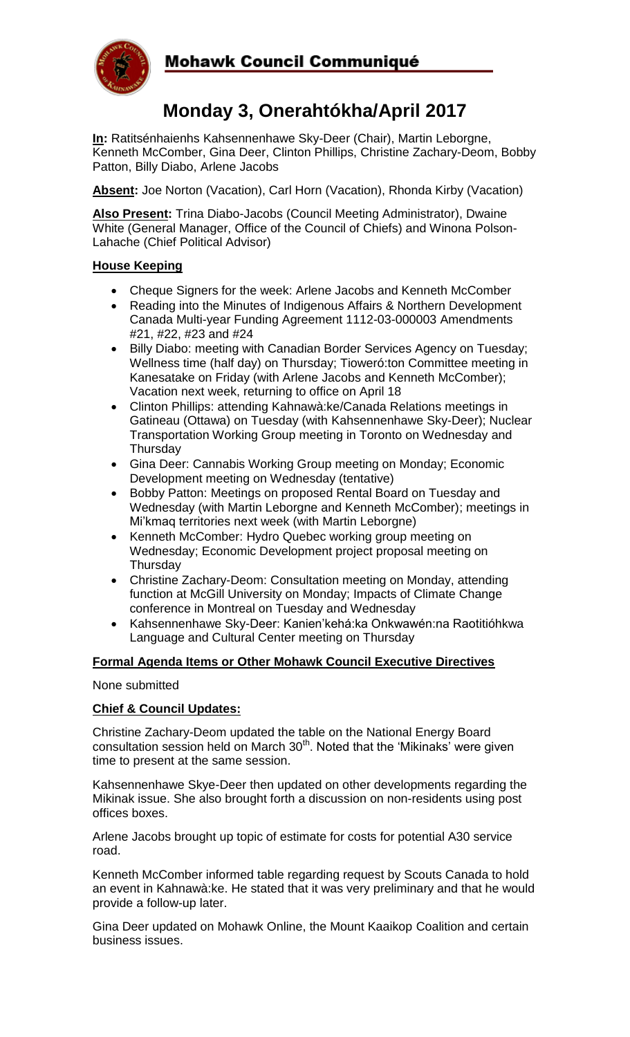

## Mohawk Council Communiqué

# **Monday 3, Onerahtókha/April 2017**

**In:** Ratitsénhaienhs Kahsennenhawe Sky-Deer (Chair), Martin Leborgne, Kenneth McComber, Gina Deer, Clinton Phillips, Christine Zachary-Deom, Bobby Patton, Billy Diabo, Arlene Jacobs

**Absent:** Joe Norton (Vacation), Carl Horn (Vacation), Rhonda Kirby (Vacation)

**Also Present:** Trina Diabo-Jacobs (Council Meeting Administrator), Dwaine White (General Manager, Office of the Council of Chiefs) and Winona Polson-Lahache (Chief Political Advisor)

#### **House Keeping**

- Cheque Signers for the week: Arlene Jacobs and Kenneth McComber
- Reading into the Minutes of Indigenous Affairs & Northern Development Canada Multi-year Funding Agreement 1112-03-000003 Amendments #21, #22, #23 and #24
- Billy Diabo: meeting with Canadian Border Services Agency on Tuesday; Wellness time (half day) on Thursday; Tioweró:ton Committee meeting in Kanesatake on Friday (with Arlene Jacobs and Kenneth McComber); Vacation next week, returning to office on April 18
- Clinton Phillips: attending Kahnawà:ke/Canada Relations meetings in Gatineau (Ottawa) on Tuesday (with Kahsennenhawe Sky-Deer); Nuclear Transportation Working Group meeting in Toronto on Wednesday and **Thursday**
- Gina Deer: Cannabis Working Group meeting on Monday; Economic Development meeting on Wednesday (tentative)
- Bobby Patton: Meetings on proposed Rental Board on Tuesday and Wednesday (with Martin Leborgne and Kenneth McComber); meetings in Mi'kmaq territories next week (with Martin Leborgne)
- Kenneth McComber: Hydro Quebec working group meeting on Wednesday; Economic Development project proposal meeting on **Thursday**
- Christine Zachary-Deom: Consultation meeting on Monday, attending function at McGill University on Monday; Impacts of Climate Change conference in Montreal on Tuesday and Wednesday
- Kahsennenhawe Sky-Deer: Kanien'kehá:ka Onkwawén:na Raotitióhkwa Language and Cultural Center meeting on Thursday

#### **Formal Agenda Items or Other Mohawk Council Executive Directives**

#### None submitted

### **Chief & Council Updates:**

Christine Zachary-Deom updated the table on the National Energy Board consultation session held on March  $30<sup>th</sup>$ . Noted that the 'Mikinaks' were given time to present at the same session.

Kahsennenhawe Skye-Deer then updated on other developments regarding the Mikinak issue. She also brought forth a discussion on non-residents using post offices boxes.

Arlene Jacobs brought up topic of estimate for costs for potential A30 service road.

Kenneth McComber informed table regarding request by Scouts Canada to hold an event in Kahnawà:ke. He stated that it was very preliminary and that he would provide a follow-up later.

Gina Deer updated on Mohawk Online, the Mount Kaaikop Coalition and certain business issues.